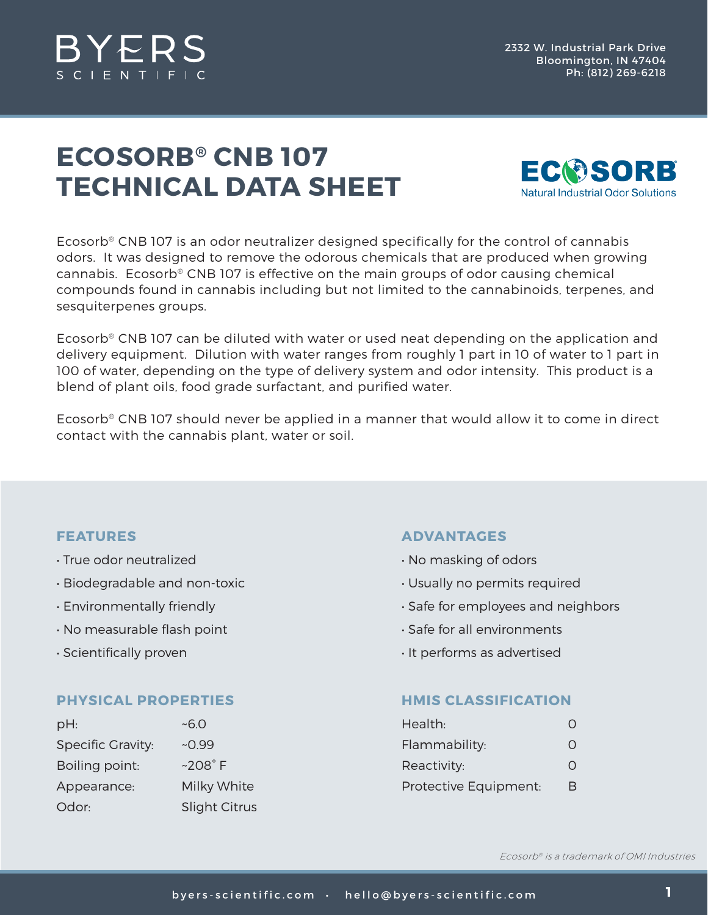

# **ECOSORB® CNB 107 TECHNICAL DATA SHEET**



Ecosorb® CNB 107 is an odor neutralizer designed specifically for the control of cannabis odors. It was designed to remove the odorous chemicals that are produced when growing cannabis. Ecosorb® CNB 107 is effective on the main groups of odor causing chemical compounds found in cannabis including but not limited to the cannabinoids, terpenes, and sesquiterpenes groups.

Ecosorb® CNB 107 can be diluted with water or used neat depending on the application and delivery equipment. Dilution with water ranges from roughly 1 part in 10 of water to 1 part in 100 of water, depending on the type of delivery system and odor intensity. This product is a blend of plant oils, food grade surfactant, and purified water.

Ecosorb® CNB 107 should never be applied in a manner that would allow it to come in direct contact with the cannabis plant, water or soil.

## **FEATURES**

- True odor neutralized
- Biodegradable and non-toxic
- Environmentally friendly
- No measurable flash point
- Scientifically proven

#### **PHYSICAL PROPERTIES**

| pH:                      | ~5.0                 |
|--------------------------|----------------------|
| <b>Specific Gravity:</b> | $-0.99$              |
| Boiling point:           | $~208^\circ$ F       |
| Appearance:              | Milky White          |
| Odor:                    | <b>Slight Citrus</b> |

## **ADVANTAGES**

- No masking of odors
- Usually no permits required
- Safe for employees and neighbors
- Safe for all environments
- It performs as advertised

#### **HMIS CLASSIFICATION**

| Health:               | $\left( \ \right)$ |
|-----------------------|--------------------|
| Flammability:         | O                  |
| Reactivity:           | Ω                  |
| Protective Equipment: | В                  |

Ecosorb® is a trademark of OMI Industries